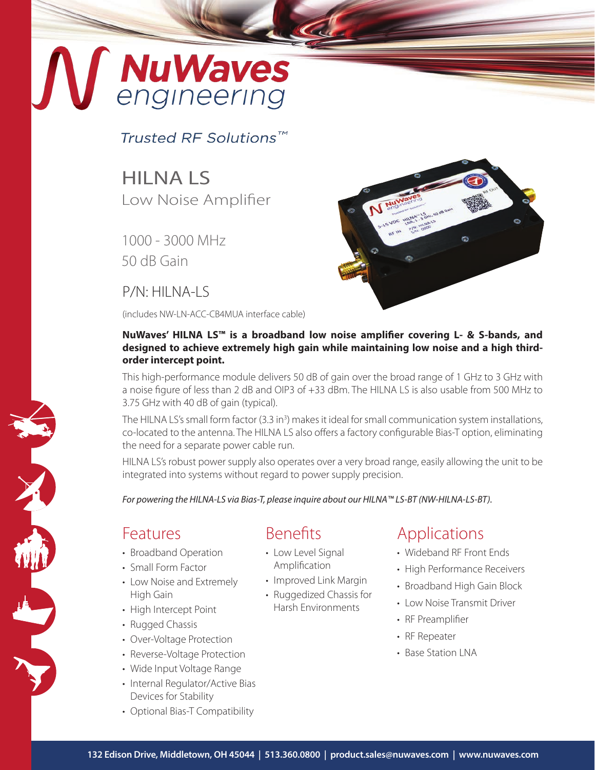# **NuWaves**<br>engineering

Trusted RF Solutions™

#### **HILNAIS** Low Noise Amplifier

1000 - 3000 MHz 50 dB Gain

#### $P/N$  $HII$  NA-IS

(includes NW-LN-ACC-CB4MUA interface cable)



#### **NuWaves' HILNA LS™ is a broadband low noise amplifier covering L- & S-bands, and designed to achieve extremely high gain while maintaining low noise and a high thirdorder intercept point.**

This high-performance module delivers 50 dB of gain over the broad range of 1 GHz to 3 GHz with a noise figure of less than 2 dB and OIP3 of +33 dBm. The HILNA LS is also usable from 500 MHz to 3.75 GHz with 40 dB of gain (typical).

The HILNA LS's small form factor (3.3 in<sup>3</sup>) makes it ideal for small communication system installations, co-located to the antenna. The HILNA LS also offers a factory configurable Bias-T option, eliminating the need for a separate power cable run.

HILNA LS's robust power supply also operates over a very broad range, easily allowing the unit to be integrated into systems without regard to power supply precision.

*For powering the HILNA-LS via Bias-T, please inquire about our HILNA™ LS-BT (NW-HILNA-LS-BT).*

#### Features

- Broadband Operation
- Small Form Factor
- Low Noise and Extremely High Gain
- High Intercept Point
- Rugged Chassis
- Over-Voltage Protection
- Reverse-Voltage Protection
- Wide Input Voltage Range
- Internal Regulator/Active Bias Devices for Stability
- Optional Bias-T Compatibility

#### Benefits

- Low Level Signal Amplification
- Improved Link Margin
- Ruggedized Chassis for Harsh Environments

#### Applications

- Wideband RF Front Ends
- High Performance Receivers
- Broadband High Gain Block
- Low Noise Transmit Driver
- RF Preamplifier
- RF Repeater
- Base Station LNA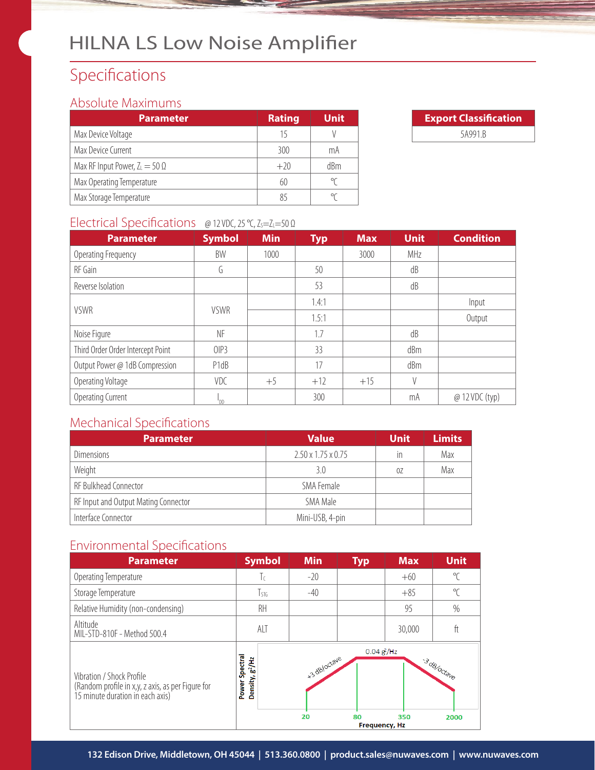# Specifications

#### Absolute Maximums

| <b>Parameter</b>                      | <b>Rating</b> | <b>Unit</b> |
|---------------------------------------|---------------|-------------|
| Max Device Voltage                    | 15            |             |
| Max Device Current                    | 300           | mA          |
| Max RF Input Power, $Z_L = 50 \Omega$ | $+20$         | dBm         |
| Max Operating Temperature             | 60            | ٩٢          |
| Max Storage Temperature               | 85            |             |

| <b>Export Classification</b> |  |  |  |  |
|------------------------------|--|--|--|--|
| 5A991.B                      |  |  |  |  |

#### Electrical Specifications @ 12 VDC, 25 °C, Z<sub>s</sub>=Z<sub>L</sub>=50 Ω

| <b>Parameter</b>                  | <b>Symbol</b> | <b>Min</b> | <b>Typ</b> | <b>Max</b> | <b>Unit</b> | <b>Condition</b> |        |
|-----------------------------------|---------------|------------|------------|------------|-------------|------------------|--------|
| Operating Frequency               | BW            | 1000       |            | 3000       | MHz         |                  |        |
| RF Gain                           | G             |            | 50         |            | dB          |                  |        |
| Reverse Isolation                 |               |            | 53         |            | dB          |                  |        |
| <b>VSWR</b>                       |               |            | 1.4:1      |            |             | Input            |        |
|                                   | <b>VSWR</b>   |            |            | 1.5:1      |             |                  | Output |
| Noise Figure                      | NF            |            | 1.7        |            | dB          |                  |        |
| Third Order Order Intercept Point | OIP3          |            | 33         |            | dBm         |                  |        |
| Output Power @ 1dB Compression    | P1dB          |            | 17         |            | dBm         |                  |        |
| Operating Voltage                 | VDC           | $+5$       | $+12$      | $+15$      | $\vee$      |                  |        |
| Operating Current                 |               |            | 300        |            | mA          | @ 12 VDC (typ)   |        |

#### Mechanical Specifications

| <b>Parameter</b>                     | <b>Value</b>                   | <b>Unit</b> | <b>Limits</b> |
|--------------------------------------|--------------------------------|-------------|---------------|
| Dimensions                           | $2.50 \times 1.75 \times 0.75$ | in          | Max           |
| Weight                               | 3.0                            | 07          | Max           |
| RF Bulkhead Connector                | SMA Female                     |             |               |
| RF Input and Output Mating Connector | SMA Male                       |             |               |
| Interface Connector                  | Mini-USB, 4-pin                |             |               |

#### Environmental Specifications

| <b>Parameter</b>                                                                                                   | <b>Symbol</b>                                     | <b>Min</b>         | <b>Typ</b>                              | <b>Max</b> | <b>Unit</b>         |
|--------------------------------------------------------------------------------------------------------------------|---------------------------------------------------|--------------------|-----------------------------------------|------------|---------------------|
| Operating Temperature                                                                                              | Τc                                                | $-20$              |                                         | $+60$      | $\sqrt{\ }$         |
| Storage Temperature                                                                                                | $T_{STG}$                                         | $-40$              |                                         | $+85$      | $\mathrm{C}$        |
| Relative Humidity (non-condensing)                                                                                 | RH                                                |                    |                                         | 95         | $\%$                |
| Altitude<br>MIL-STD-810F - Method 500.4                                                                            | ALT                                               |                    |                                         | 30,000     | ft                  |
| Vibration / Shock Profile<br>(Random profile in x,y, z axis, as per Figure for<br>15 minute duration in each axis) | Spectral<br>Density, g <sup>2</sup> /Hz<br>Power: | +3 dB/octave<br>20 | 0.04 g/Hz<br>80<br><b>Frequency, Hz</b> | 350        | 3 dB/octave<br>2000 |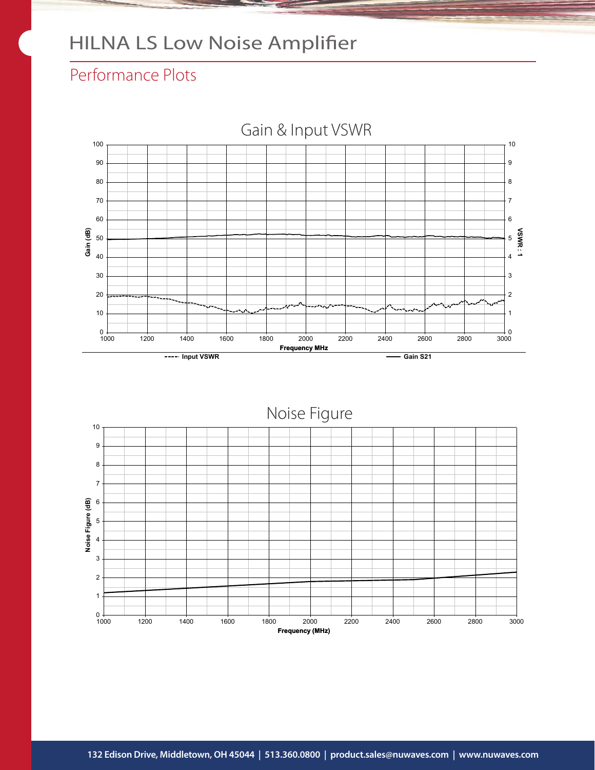#### Performance Plots



Noise Figure

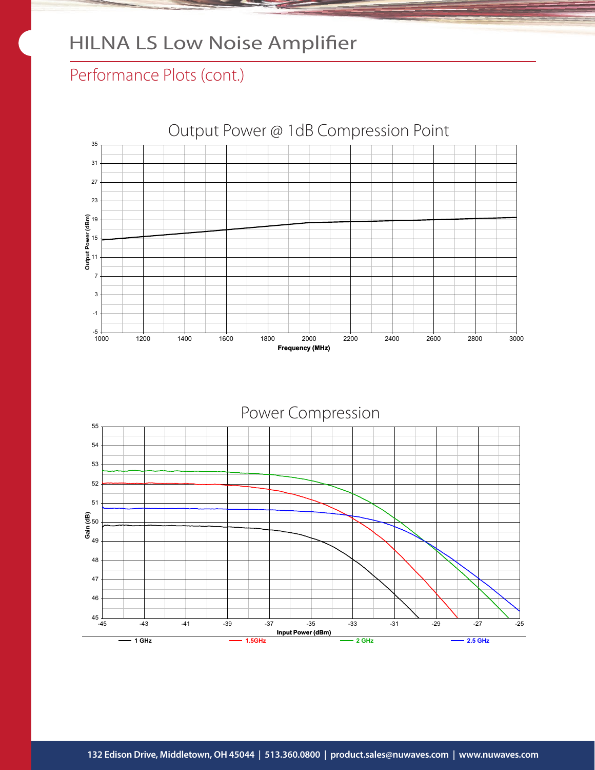#### Performance Plots (cont.)



Input Power (dBm) ິສັງ<br>ເສັ້<sub>49</sub><br>ປີ້<sub>49</sub>  $45\begin{array}{c}\n-45\n\end{array}$ 46 47 48 50 51 52 53 54 55 -45 -43 -41 -39 -37 -35 -33 -31 -29 -27 -25 Power Compression $-1.5$ GHz  $-2.5$  GHz  $-2.5$  GHz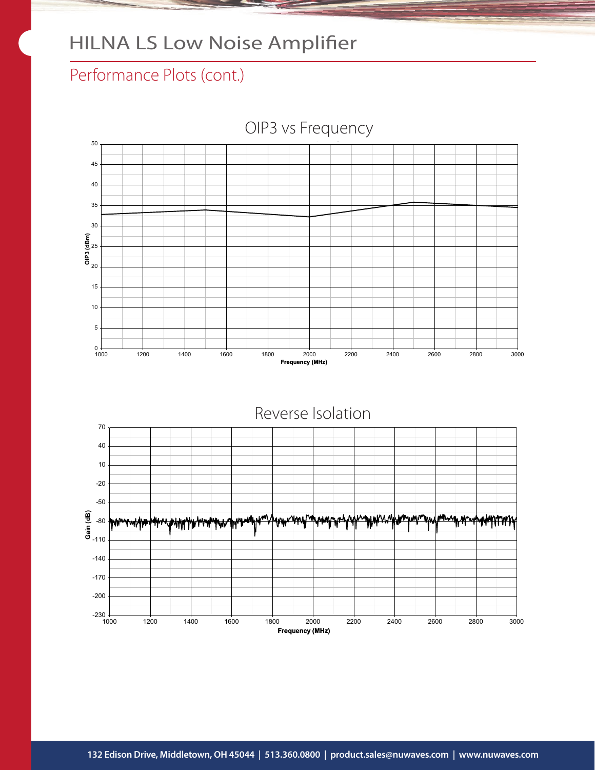#### Performance Plots (cont.)



**132 Edison Drive, Middletown, OH 45044 | 513.360.0800 | product.sales@nuwaves.com | www.nuwaves.com**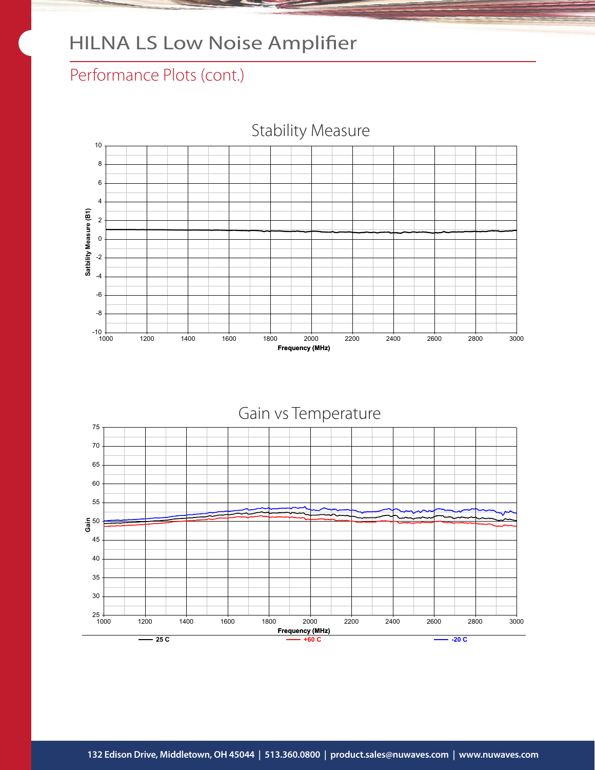#### Performance Plots (cont.)



Stability Measure

Gain vs Temperature